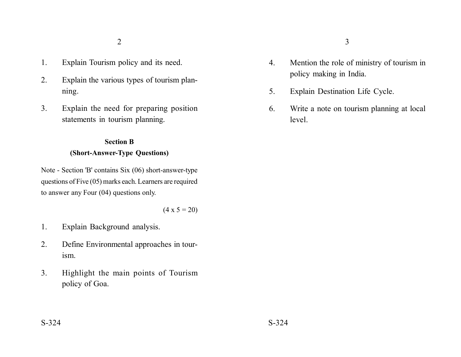- 1. Explain Tourism policy and its need.
- 2. Explain the various types of tourism planning.
- 3. Explain the need for preparing position statements in tourism planning.

#### **Section B**

## **(Short-Answer-Type Questions)**

Note - Section 'B' contains Six (06) short-answer-type questions of Five (05) marks each. Learners are required to answer any Four (04) questions only.

### $(4 \times 5 = 20)$

- 1. Explain Background analysis.
- 2. Define Environmental approaches in tourism.
- 3. Highlight the main points of Tourism policy of Goa.
- 4. Mention the role of ministry of tourism in policy making in India.
- 5. Explain Destination Life Cycle.
- 6. Write a note on tourism planning at local level.